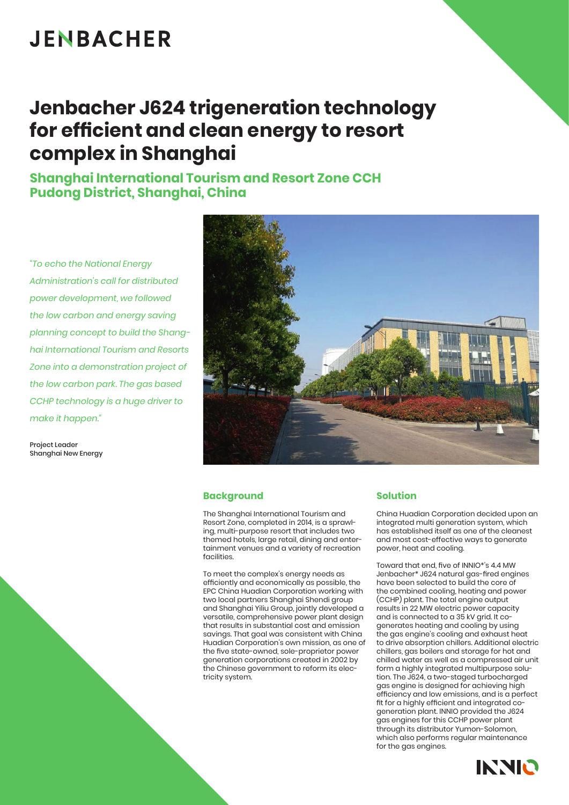# **JENBACHER**

### **Jenbacher J624 trigeneration technology for efficient and clean energy to resort complex in Shanghai**

**Shanghai International Tourism and Resort Zone CCH Pudong District, Shanghai, China**

*"To echo the National Energy Administration's call for distributed power development, we followed the low carbon and energy saving planning concept to build the Shanghai International Tourism and Resorts Zone into a demonstration project of the low carbon park. The gas based CCHP technology is a huge driver to make it happen."*

Project Leader Shanghai New Energy



#### **Background**

The Shanghai International Tourism and Resort Zone, completed in 2014, is a sprawling, multi-purpose resort that includes two themed hotels, large retail, dining and entertainment venues and a variety of recreation facilities.

To meet the complex's energy needs as efficiently and economically as possible, the EPC China Huadian Corporation working with two local partners Shanghai Shendi group and Shanghai Yiliu Group, jointly developed a versatile, comprehensive power plant design that results in substantial cost and emission savings. That goal was consistent with China Huadian Corporation's own mission, as one of the five state-owned, sole-proprietor power generation corporations created in 2002 by the Chinese government to reform its electricity system.

### **Solution**

China Huadian Corporation decided upon an integrated multi generation system, which has established itself as one of the cleanest and most cost-effective ways to generate power, heat and cooling.

Toward that end, five of INNIO\*'s 4.4 MW Jenbacher\* J624 natural gas-fired engines have been selected to build the core of the combined cooling, heating and power (CCHP) plant. The total engine output results in 22 MW electric power capacity and is connected to a 35 kV grid. It cogenerates heating and cooling by using the gas engine's cooling and exhaust heat to drive absorption chillers. Additional electric chillers, gas boilers and storage for hot and chilled water as well as a compressed air unit form a highly integrated multipurpose solution. The J624, a two-staged turbocharged gas engine is designed for achieving high efficiency and low emissions, and is a perfect fit for a highly efficient and integrated cogeneration plant. INNIO provided the J624 gas engines for this CCHP power plant through its distributor Yumon-Solomon, which also performs regular maintenance for the gas engines.